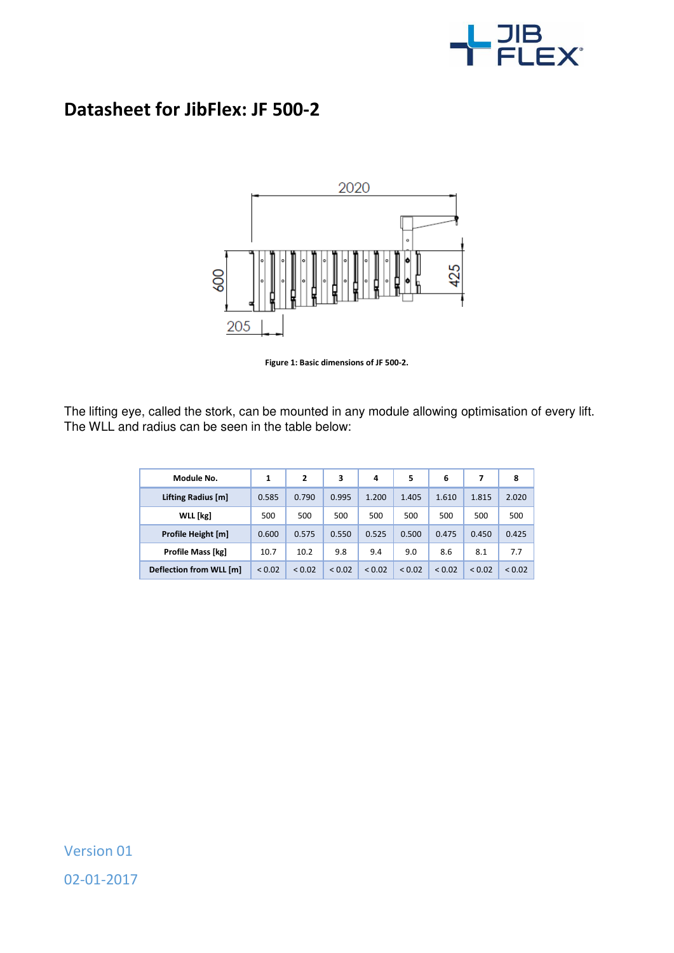

## **Datasheet for JibFlex: JF 500-2**



**Figure 1: Basic dimensions of JF 500-2.** 

The lifting eye, called the stork, can be mounted in any module allowing optimisation of every lift. The WLL and radius can be seen in the table below:

| Module No.              | 1      | $\overline{2}$ | 3           | 4           | 5      | 6           | 7           | 8      |
|-------------------------|--------|----------------|-------------|-------------|--------|-------------|-------------|--------|
| Lifting Radius [m]      | 0.585  | 0.790          | 0.995       | 1.200       | 1.405  | 1.610       | 1.815       | 2.020  |
| WLL [kg]                | 500    | 500            | 500         | 500         | 500    | 500         | 500         | 500    |
| Profile Height [m]      | 0.600  | 0.575          | 0.550       | 0.525       | 0.500  | 0.475       | 0.450       | 0.425  |
| Profile Mass [kg]       | 10.7   | 10.2           | 9.8         | 9.4         | 9.0    | 8.6         | 8.1         | 7.7    |
| Deflection from WLL [m] | < 0.02 | ${}_{0.02}$    | ${}_{0.02}$ | ${}_{0.02}$ | < 0.02 | ${}_{0.02}$ | ${}_{0.02}$ | < 0.02 |

Version 01 02-01-2017